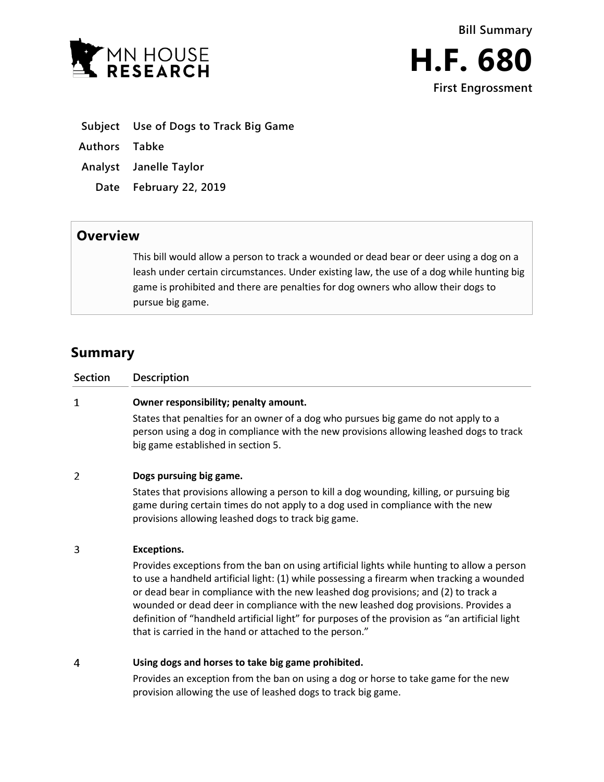

- **Subject Use of Dogs to Track Big Game**
- **Authors Tabke**
- **Analyst Janelle Taylor**
	- **Date February 22, 2019**

## **Overview**

This bill would allow a person to track a wounded or dead bear or deer using a dog on a leash under certain circumstances. Under existing law, the use of a dog while hunting big game is prohibited and there are penalties for dog owners who allow their dogs to pursue big game.

# **Summary**

| <b>Section</b> | <b>Description</b>                                                                                                                                                                                                  |
|----------------|---------------------------------------------------------------------------------------------------------------------------------------------------------------------------------------------------------------------|
|                | Owner responsibility; penalty amount.                                                                                                                                                                               |
|                | States that penalties for an owner of a dog who pursues big game do not apply to a<br>person using a dog in compliance with the new provisions allowing leashed dogs to track<br>big game established in section 5. |
| 2              | Dogs pursuing big game.                                                                                                                                                                                             |

States that provisions allowing a person to kill a dog wounding, killing, or pursuing big game during certain times do not apply to a dog used in compliance with the new provisions allowing leashed dogs to track big game.

#### $\overline{\mathbf{3}}$ **Exceptions.**

Provides exceptions from the ban on using artificial lights while hunting to allow a person to use a handheld artificial light: (1) while possessing a firearm when tracking a wounded or dead bear in compliance with the new leashed dog provisions; and (2) to track a wounded or dead deer in compliance with the new leashed dog provisions. Provides a definition of "handheld artificial light" for purposes of the provision as "an artificial light that is carried in the hand or attached to the person."

#### $\overline{4}$ **Using dogs and horses to take big game prohibited.**

Provides an exception from the ban on using a dog or horse to take game for the new provision allowing the use of leashed dogs to track big game.